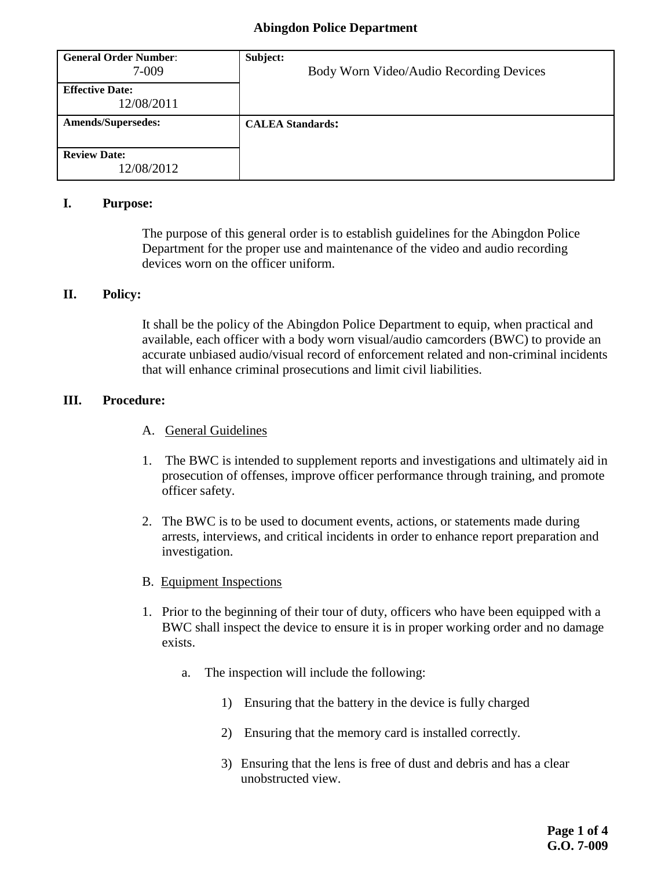| <b>General Order Number:</b><br>7-009 | Subject:<br>Body Worn Video/Audio Recording Devices |
|---------------------------------------|-----------------------------------------------------|
| <b>Effective Date:</b><br>12/08/2011  |                                                     |
| <b>Amends/Supersedes:</b>             | <b>CALEA Standards:</b>                             |
|                                       |                                                     |
| <b>Review Date:</b>                   |                                                     |
| 12/08/2012                            |                                                     |

#### **I. Purpose:**

The purpose of this general order is to establish guidelines for the Abingdon Police Department for the proper use and maintenance of the video and audio recording devices worn on the officer uniform.

## **II. Policy:**

It shall be the policy of the Abingdon Police Department to equip, when practical and available, each officer with a body worn visual/audio camcorders (BWC) to provide an accurate unbiased audio/visual record of enforcement related and non-criminal incidents that will enhance criminal prosecutions and limit civil liabilities.

## **III. Procedure:**

- A. General Guidelines
- 1. The BWC is intended to supplement reports and investigations and ultimately aid in prosecution of offenses, improve officer performance through training, and promote officer safety.
- 2. The BWC is to be used to document events, actions, or statements made during arrests, interviews, and critical incidents in order to enhance report preparation and investigation.
- B. Equipment Inspections
- 1. Prior to the beginning of their tour of duty, officers who have been equipped with a BWC shall inspect the device to ensure it is in proper working order and no damage exists.
	- a. The inspection will include the following:
		- 1) Ensuring that the battery in the device is fully charged
		- 2) Ensuring that the memory card is installed correctly.
		- 3) Ensuring that the lens is free of dust and debris and has a clear unobstructed view.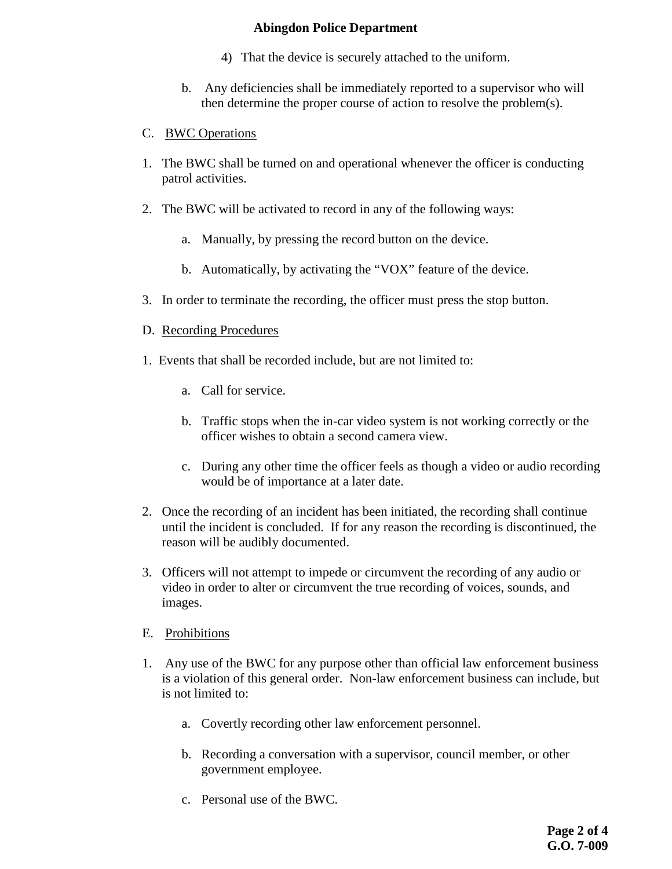- 4) That the device is securely attached to the uniform.
- b. Any deficiencies shall be immediately reported to a supervisor who will then determine the proper course of action to resolve the problem(s).

## C. BWC Operations

- 1. The BWC shall be turned on and operational whenever the officer is conducting patrol activities.
- 2. The BWC will be activated to record in any of the following ways:
	- a. Manually, by pressing the record button on the device.
	- b. Automatically, by activating the "VOX" feature of the device.
- 3. In order to terminate the recording, the officer must press the stop button.

## D. Recording Procedures

- 1. Events that shall be recorded include, but are not limited to:
	- a. Call for service.
	- b. Traffic stops when the in-car video system is not working correctly or the officer wishes to obtain a second camera view.
	- c. During any other time the officer feels as though a video or audio recording would be of importance at a later date.
- 2. Once the recording of an incident has been initiated, the recording shall continue until the incident is concluded. If for any reason the recording is discontinued, the reason will be audibly documented.
- 3. Officers will not attempt to impede or circumvent the recording of any audio or video in order to alter or circumvent the true recording of voices, sounds, and images.
- E. Prohibitions
- 1. Any use of the BWC for any purpose other than official law enforcement business is a violation of this general order. Non-law enforcement business can include, but is not limited to:
	- a. Covertly recording other law enforcement personnel.
	- b. Recording a conversation with a supervisor, council member, or other government employee.
	- c. Personal use of the BWC.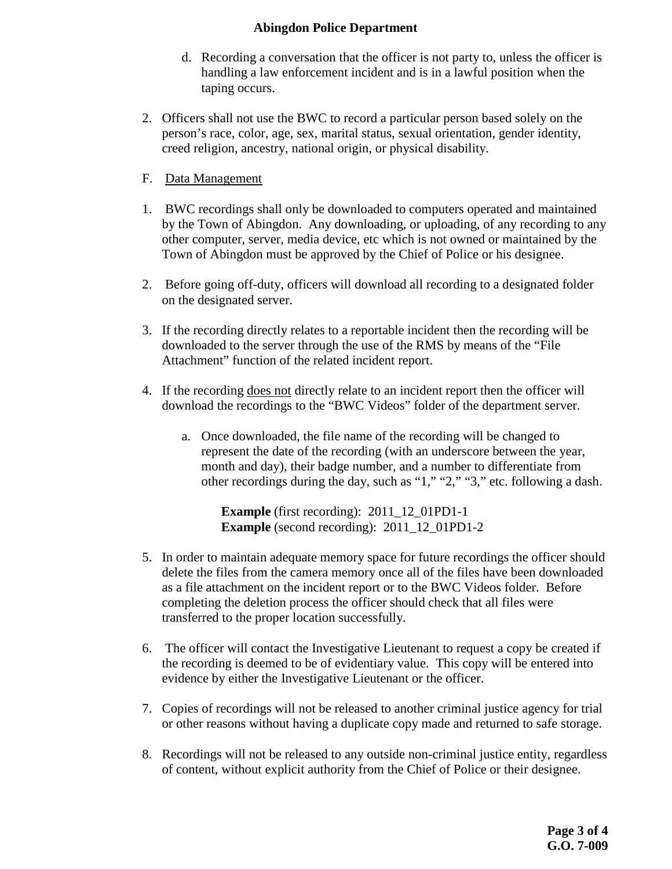- d. Recording a conversation that the officer is not party to, unless the officer is handling a law enforcement incident and is in a lawful position when the taping occurs.
- 2. Officers shall not use the BWC to record a particular person based solely on the person's race, color, age, sex, marital status, sexual orientation, gender identity, creed religion, ancestry, national origin, or physical disability.
- F. Data Management
- 1. BWC recordings shall only be downloaded to computers operated and maintained by the Town of Abingdon. Any downloading, or uploading, of any recording to any other computer, server, media device, etc which is not owned or maintained by the Town of Abingdon must be approved by the Chief of Police or his designee.
- 2. Before going off-duty, officers will download all recording to a designated folder on the designated server.
- 3. If the recording directly relates to a reportable incident then the recording will be downloaded to the server through the use of the RMS by means of the "File Attachment" function of the related incident report.
- 4. If the recording does not directly relate to an incident report then the officer will download the recordings to the "BWC Videos" folder of the department server.
	- a. Once downloaded, the file name of the recording will be changed to represent the date of the recording (with an underscore between the year, month and day), their badge number, and a number to differentiate from other recordings during the day, such as "1," "2," "3," etc. following a dash.

**Example** (first recording): 2011\_12\_01PD1-1 **Example** (second recording): 2011\_12\_01PD1-2

- 5. In order to maintain adequate memory space for future recordings the officer should delete the files from the camera memory once all of the files have been downloaded as a file attachment on the incident report or to the BWC Videos folder. Before completing the deletion process the officer should check that all files were transferred to the proper location successfully.
- 6. The officer will contact the Investigative Lieutenant to request a copy be created if the recording is deemed to be of evidentiary value. This copy will be entered into evidence by either the Investigative Lieutenant or the officer.
- 7. Copies of recordings will not be released to another criminal justice agency for trial or other reasons without having a duplicate copy made and returned to safe storage.
- 8. Recordings will not be released to any outside non-criminal justice entity, regardless of content, without explicit authority from the Chief of Police or their designee.